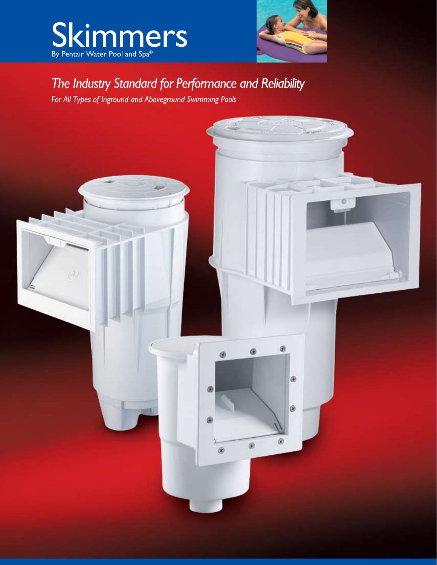



## *The Industry Standard for Performance and Reliability*

*For All Types of Inground and Aboveground Swimming Pools*

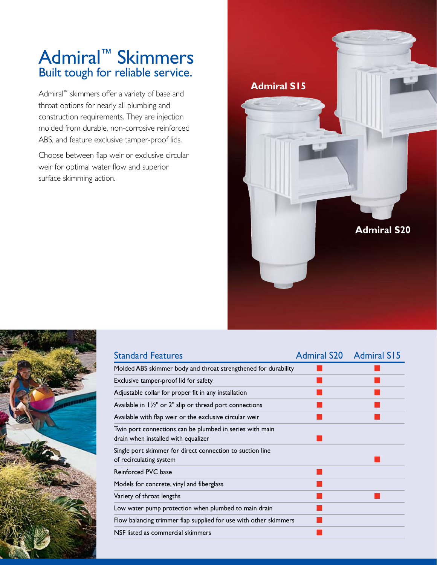## Admiral™ Skimmers Built tough for reliable service.

Admiral™ skimmers offer a variety of base and throat options for nearly all plumbing and construction requirements. They are injection molded from durable, non-corrosive reinforced ABS, and feature exclusive tamper-proof lids.

Choose between flap weir or exclusive circular weir for optimal water flow and superior surface skimming action.

> Standard Features **Admiral S20** Admiral S15 Molded ABS skimmer body and throat strengthened for durability Exclusive tamper-proof lid for safety Adjustable collar for proper fit in any installation Available in 1½" or 2" slip or thread port connections  $\blacksquare$ Available with flap weir or the exclusive circular weir Twin port connections can be plumbed in series with main drain when installed with equalizer Single port skimmer for direct connection to suction line of recirculating system Reinforced PVC base and the contract of the contract of the contract of the contract of the contract of the contract of the contract of the contract of the contract of the contract of the contract of the contract of the co Models for concrete, vinyl and fiberglass Variety of throat lengths and the state of the state of the state of the state of the state of the state of the state of the state of the state of the state of the state of the state of the state of the state of the state Low water pump protection when plumbed to main drain Flow balancing trimmer flap supplied for use with other skimmers NSF listed as commercial skimmers

**Admiral S15**

**Admiral S20**

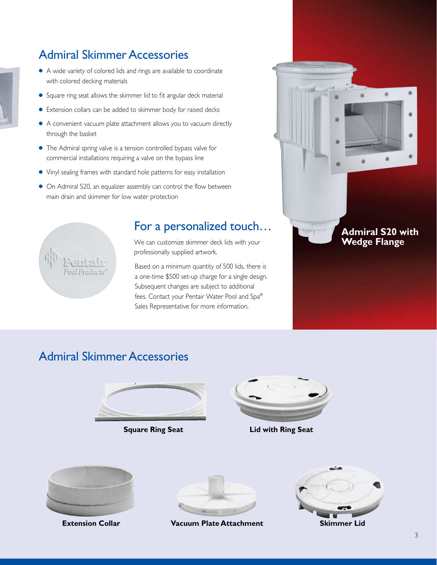### Admiral Skimmer Accessories

- A wide variety of colored lids and rings are available to coordinate with colored decking materials
- Square ring seat allows the skimmer lid to fit angular deck material
- Extension collars can be added to skimmer body for raised decks
- A convenient vacuum plate attachment allows you to vacuum directly through the basket
- The Admiral spring valve is a tension controlled bypass valve for commercial installations requiring a valve on the bypass line
- Vinyl sealing frames with standard hole patterns for easy installation
- On Admiral S20, an equalizer assembly can control the flow between main drain and skimmer for low water protection



### For a personalized touch…

We can customize skimmer deck lids with your professionally supplied artwork.

Based on a minimum quantity of 500 lids, there is a one-time \$500 set-up charge for a single design. Subsequent changes are subject to additional fees. Contact your Pentair Water Pool and Spa® Sales Representative for more information.



### Admiral Skimmer Accessories



**Square Ring Seat**



**Lid with Ring Seat**



**Extension Collar**



**Vacuum Plate Attachment Skimmer Lid**

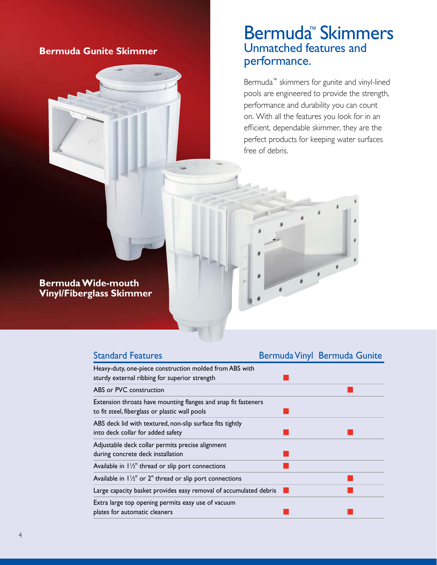### **Bermuda Gunite Skimmer**

### Bermuda™ Skimmers Unmatched features and performance.

Bermuda™ skimmers for gunite and vinyl-lined pools are engineered to provide the strength, performance and durability you can count on. With all the features you look for in an efficient, dependable skimmer, they are the perfect products for keeping water surfaces free of debris.

#### **Bermuda Wide-mouth Vinyl/Fiberglass Skimmer**

| <b>Standard Features</b>                                                                                         | Bermuda Vinyl Bermuda Gunite |
|------------------------------------------------------------------------------------------------------------------|------------------------------|
| Heavy-duty, one-piece construction molded from ABS with<br>sturdy external ribbing for superior strength         |                              |
| ABS or PVC construction                                                                                          |                              |
| Extension throats have mounting flanges and snap fit fasteners<br>to fit steel, fiberglass or plastic wall pools |                              |
| ABS deck lid with textured, non-slip surface fits tightly<br>into deck collar for added safety                   |                              |
| Adjustable deck collar permits precise alignment<br>during concrete deck installation                            |                              |
| Available in $1\frac{1}{2}$ " thread or slip port connections                                                    |                              |
| Available in $1\frac{1}{2}$ " or 2" thread or slip port connections                                              |                              |
| Large capacity basket provides easy removal of accumulated debris                                                |                              |
| Extra large top opening permits easy use of vacuum<br>plates for automatic cleaners                              |                              |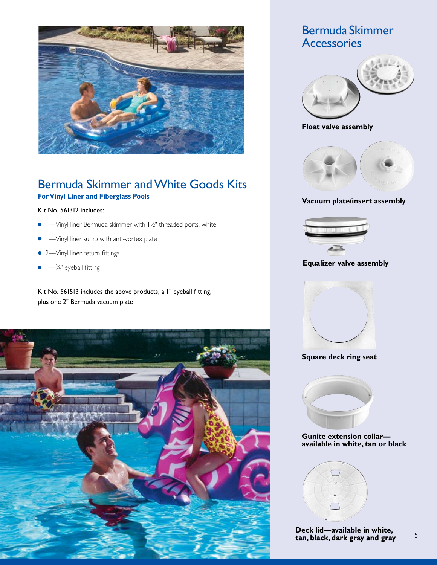

### Bermuda Skimmer and White Goods Kits **For Vinyl Liner and Fiberglass Pools**

#### Kit No. 561312 includes:

- 1—Vinyl liner Bermuda skimmer with 1½" threaded ports, white
- 1—Vinyl liner sump with anti-vortex plate
- 2—Vinyl liner return fittings
- $\bullet$  1— $\frac{3}{4}$ " eyeball fitting

Kit No. 561513 includes the above products, a 1" eyeball fitting, plus one 2" Bermuda vacuum plate



### Bermuda Skimmer **Accessories**



#### **Float valve assembly**



#### **Vacuum plate/insert assembly**



#### **Equalizer valve assembly**



#### **Square deck ring seat**



#### **Gunite extension collar available in white, tan or black**



**Deck lid—available in white, tan, black, dark gray and gray** 5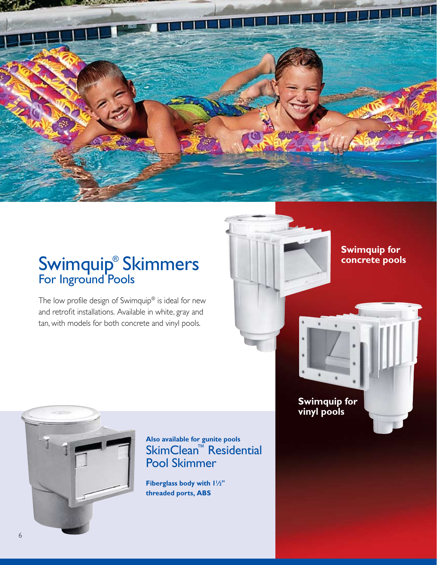

## Swimquip® Skimmers For Inground Pools

The low profile design of Swimquip® is ideal for new and retrofit installations. Available in white, gray and tan, with models for both concrete and vinyl pools.

**Swimquip for concrete pools**

**Swimquip for vinyl pools**



**Also available for gunite pools** SkimClean™ Residential Pool Skimmer

**Fiberglass body with 11 ⁄2" threaded ports, ABS**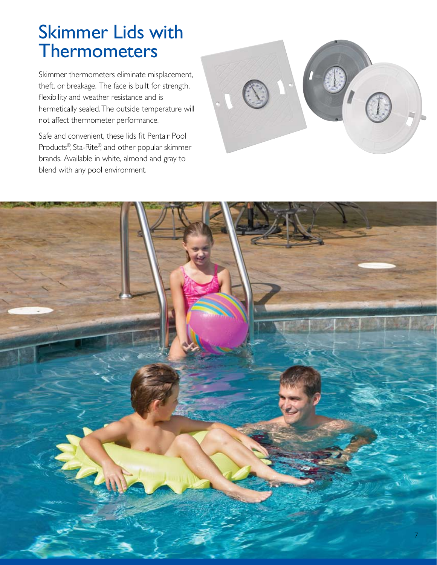# Skimmer Lids with **Thermometers**

Skimmer thermometers eliminate misplacement, theft, or breakage. The face is built for strength, flexibility and weather resistance and is hermetically sealed. The outside temperature will not affect thermometer performance.

Safe and convenient, these lids fit Pentair Pool Products®, Sta-Rite®, and other popular skimmer brands. Available in white, almond and gray to blend with any pool environment.